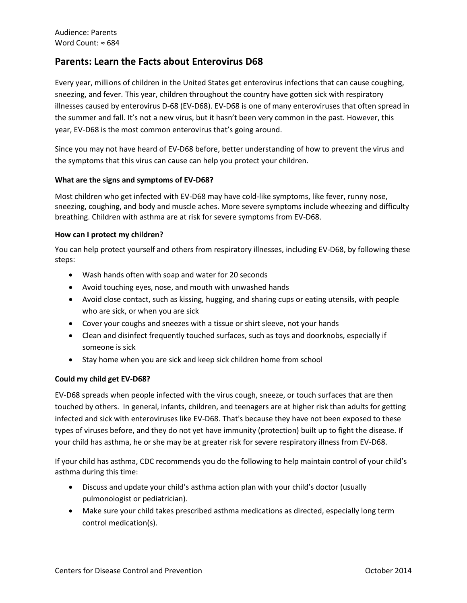# **Parents: Learn the Facts about Enterovirus D68**

Every year, millions of children in the United States get enterovirus infections that can cause coughing, sneezing, and fever. This year, children throughout the country have gotten sick with respiratory illnesses caused by enterovirus D-68 (EV-D68). EV-D68 is one of many enteroviruses that often spread in the summer and fall. It's not a new virus, but it hasn't been very common in the past. However, this year, EV-D68 is the most common enterovirus that's going around.

Since you may not have heard of EV-D68 before, better understanding of how to prevent the virus and the symptoms that this virus can cause can help you protect your children.

### **What are the signs and symptoms of EV-D68?**

Most children who get infected with EV-D68 may have cold-like symptoms, like fever, runny nose, sneezing, coughing, and body and muscle aches. More severe symptoms include wheezing and difficulty breathing. Children with asthma are at risk for severe symptoms from EV-D68.

### **How can I protect my children?**

You can help protect yourself and others from respiratory illnesses, including EV-D68, by following these steps:

- Wash hands often with soap and water for 20 seconds
- Avoid touching eyes, nose, and mouth with unwashed hands
- Avoid close contact, such as kissing, hugging, and sharing cups or eating utensils, with people who are sick, or when you are sick
- Cover your coughs and sneezes with a tissue or shirt sleeve, not your hands
- Clean and disinfect frequently touched surfaces, such as toys and doorknobs, especially if someone is sick
- Stay home when you are sick and keep sick children home from school

# **Could my child get EV-D68?**

EV-D68 spreads when people infected with the virus cough, sneeze, or touch surfaces that are then touched by others. In general, infants, children, and teenagers are at higher risk than adults for getting infected and sick with enteroviruses like EV-D68. That's because they have not been exposed to these types of viruses before, and they do not yet have immunity (protection) built up to fight the disease. If your child has asthma, he or she may be at greater risk for severe respiratory illness from EV-D68.

If your child has asthma, CDC recommends you do the following to help maintain control of your child's asthma during this time:

- Discuss and update your child's asthma action plan with your child's doctor (usually pulmonologist or pediatrician).
- Make sure your child takes prescribed asthma medications as directed, especially long term control medication(s).